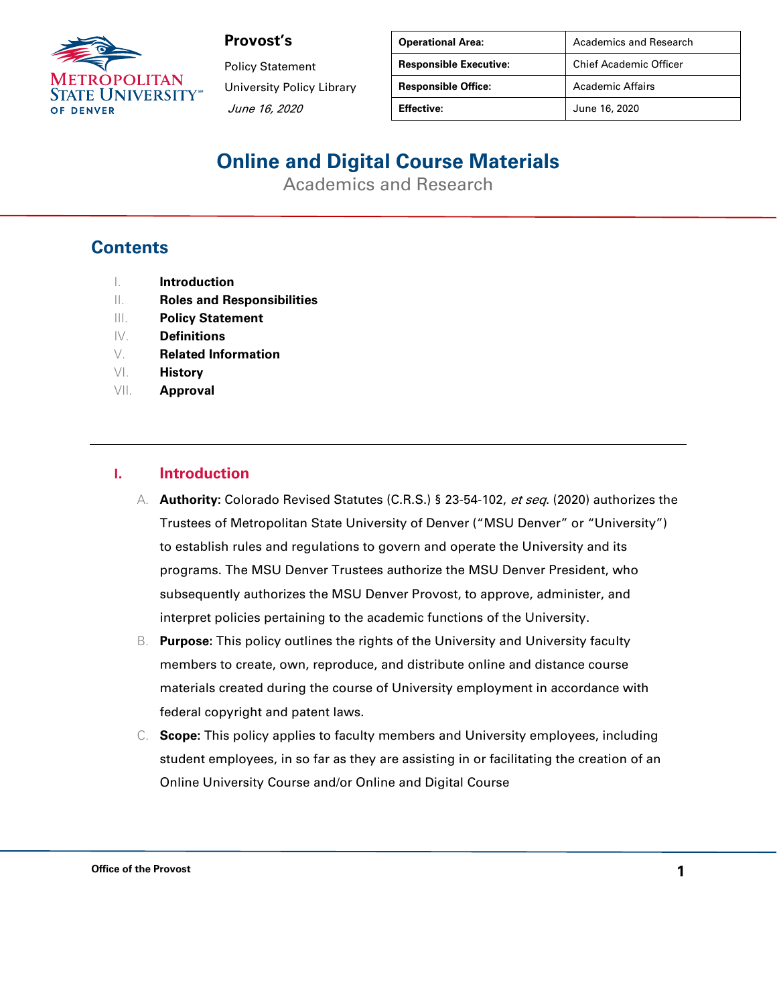

Policy Statement University Policy Library June 16, 2020

| <b>Operational Area:</b>      | Academics and Research        |
|-------------------------------|-------------------------------|
| <b>Responsible Executive:</b> | <b>Chief Academic Officer</b> |
| <b>Responsible Office:</b>    | <b>Academic Affairs</b>       |
| <b>Effective:</b>             | June 16, 2020                 |

# **Online and Digital Course Materials**

Academics and Research

#### **Contents**

- I. **Introduction**
- II. **Roles and Responsibilities**
- III. **Policy Statement**
- IV. **Definitions**
- V. **Related Information**
- VI. **History**
- VII. **Approval**

#### **I. Introduction**

- A. **Authority:** Colorado Revised Statutes (C.R.S.) § 23-54-102, et seq. (2020) authorizes the Trustees of Metropolitan State University of Denver ("MSU Denver" or "University") to establish rules and regulations to govern and operate the University and its programs. The MSU Denver Trustees authorize the MSU Denver President, who subsequently authorizes the MSU Denver Provost, to approve, administer, and interpret policies pertaining to the academic functions of the University.
- B. **Purpose:** This policy outlines the rights of the University and University faculty members to create, own, reproduce, and distribute online and distance course materials created during the course of University employment in accordance with federal copyright and patent laws.
- C. **Scope:** This policy applies to faculty members and University employees, including student employees, in so far as they are assisting in or facilitating the creation of an Online University Course and/or Online and Digital Course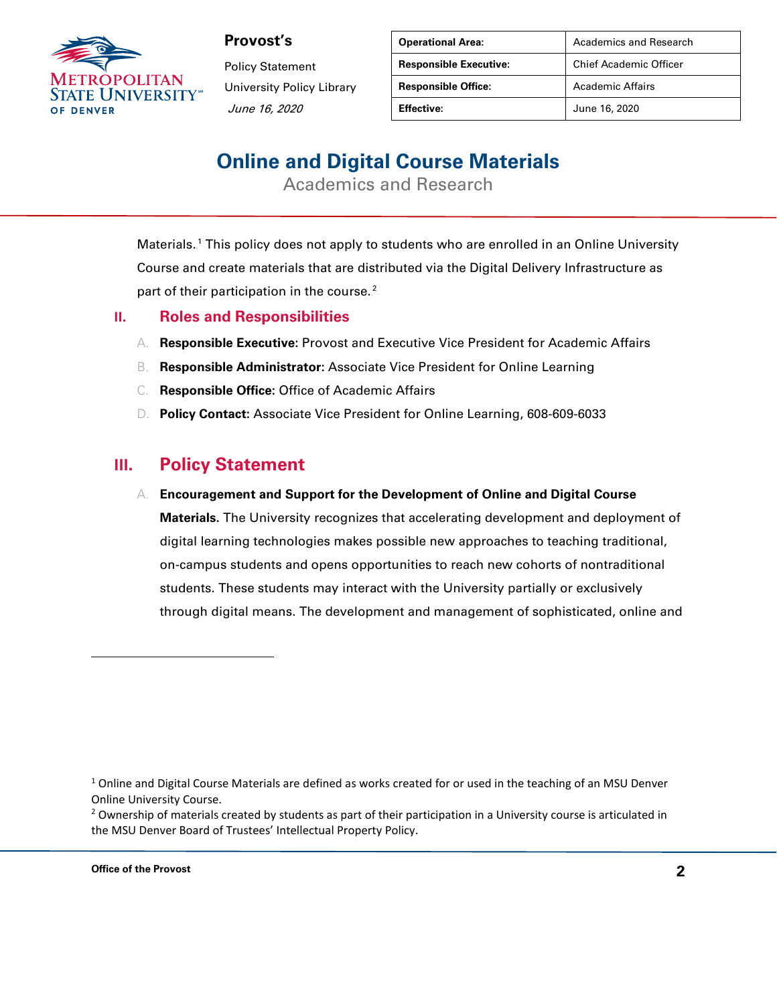

Policy Statement University Policy Library June 16, 2020

| <b>Operational Area:</b>      | Academics and Research        |
|-------------------------------|-------------------------------|
| <b>Responsible Executive:</b> | <b>Chief Academic Officer</b> |
| <b>Responsible Office:</b>    | <b>Academic Affairs</b>       |
| Effective:                    | June 16, 2020                 |

# **Online and Digital Course Materials**

Academics and Research

Materials.<sup>1</sup> This policy does not apply to students who are enrolled in an Online University Course and create materials that are distributed via the Digital Delivery Infrastructure as part of their participation in the course. $2$ 

- **II. Roles and Responsibilities**
	- A. **Responsible Executive:** Provost and Executive Vice President for Academic Affairs
	- B. **Responsible Administrator:** Associate Vice President for Online Learning
	- C. **Responsible Office:** Office of Academic Affairs
	- D. **Policy Contact:** Associate Vice President for Online Learning, 608-609-6033

#### **III. Policy Statement**

#### A. **Encouragement and Support for the Development of Online and Digital Course**

**Materials.** The University recognizes that accelerating development and deployment of digital learning technologies makes possible new approaches to teaching traditional, on-campus students and opens opportunities to reach new cohorts of nontraditional students. These students may interact with the University partially or exclusively through digital means. The development and management of sophisticated, online and

 $1$  Online and Digital Course Materials are defined as works created for or used in the teaching of an MSU Denver Online University Course.

 $<sup>2</sup>$  Ownership of materials created by students as part of their participation in a University course is articulated in</sup> the MSU Denver Board of Trustees' Intellectual Property Policy.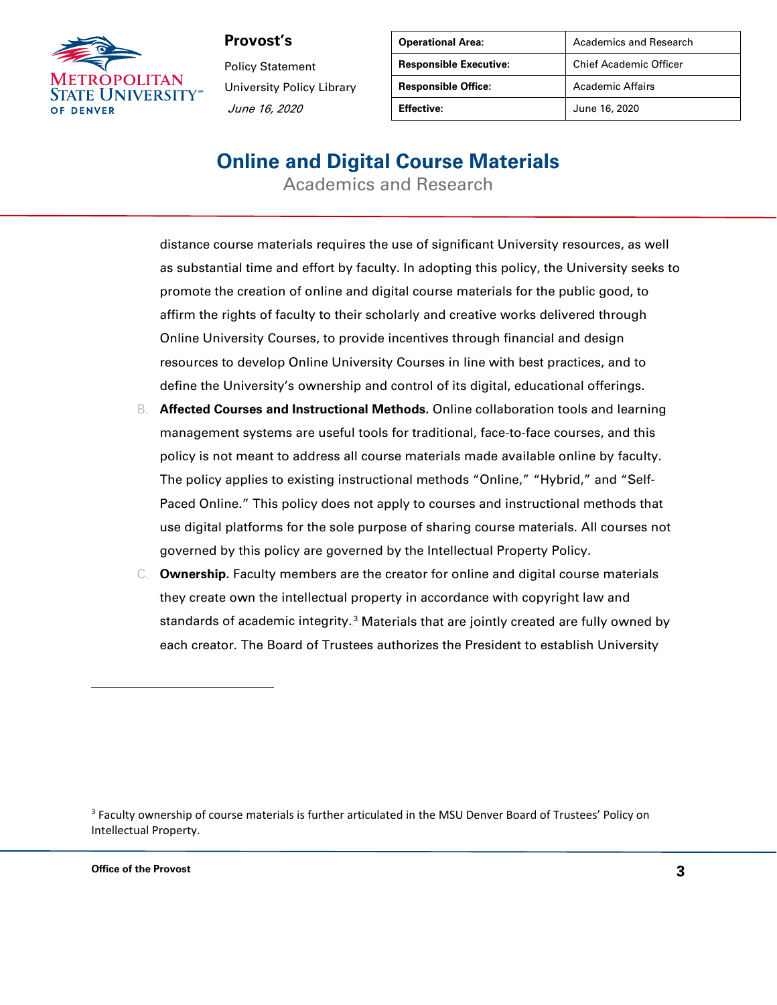

Policy Statement University Policy Library June 16, 2020

| <b>Operational Area:</b>      | Academics and Research        |
|-------------------------------|-------------------------------|
| <b>Responsible Executive:</b> | <b>Chief Academic Officer</b> |
| <b>Responsible Office:</b>    | Academic Affairs              |
| Effective:                    | June 16, 2020                 |

### **Online and Digital Course Materials**

Academics and Research

distance course materials requires the use of significant University resources, as well as substantial time and effort by faculty. In adopting this policy, the University seeks to promote the creation of online and digital course materials for the public good, to affirm the rights of faculty to their scholarly and creative works delivered through Online University Courses, to provide incentives through financial and design resources to develop Online University Courses in line with best practices, and to define the University's ownership and control of its digital, educational offerings.

- B. **Affected Courses and Instructional Methods.** Online collaboration tools and learning management systems are useful tools for traditional, face-to-face courses, and this policy is not meant to address all course materials made available online by faculty. The policy applies to existing instructional methods "Online," "Hybrid," and "Self-Paced Online." This policy does not apply to courses and instructional methods that use digital platforms for the sole purpose of sharing course materials. All courses not governed by this policy are governed by the Intellectual Property Policy.
- C. **Ownership.** Faculty members are the creator for online and digital course materials they create own the intellectual property in accordance with copyright law and standards of academic integrity.<sup>3</sup> Materials that are jointly created are fully owned by each creator. The Board of Trustees authorizes the President to establish University

<sup>3</sup> Faculty ownership of course materials is further articulated in the MSU Denver Board of Trustees' Policy on Intellectual Property.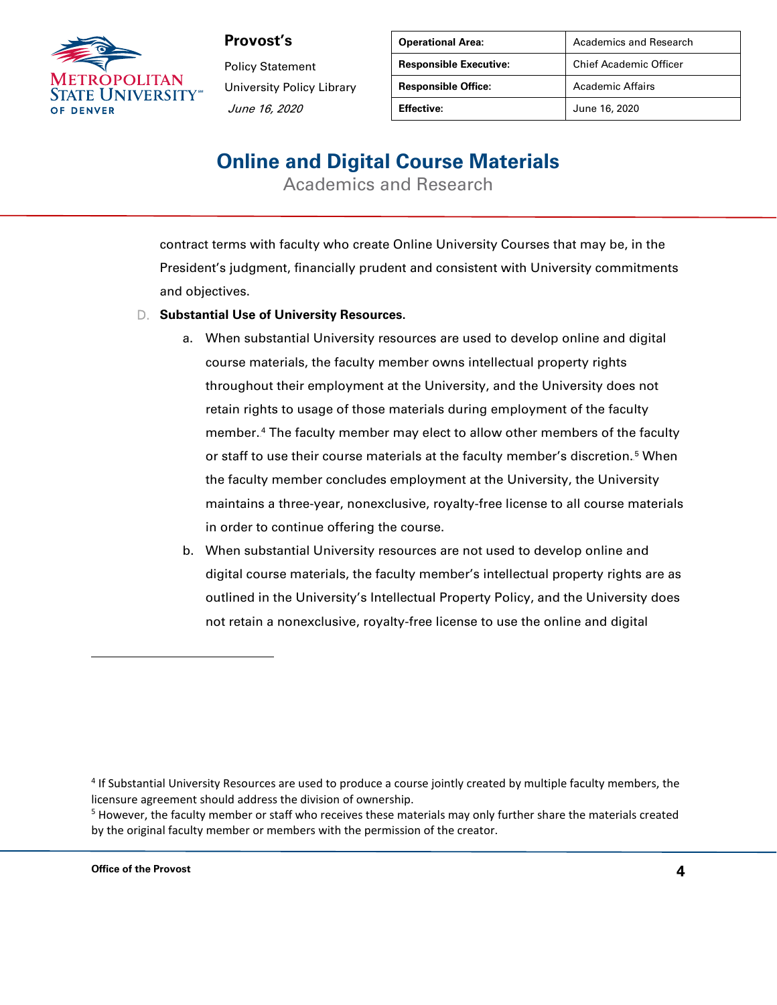

Policy Statement University Policy Library June 16, 2020

| <b>Operational Area:</b>      | Academics and Research        |
|-------------------------------|-------------------------------|
| <b>Responsible Executive:</b> | <b>Chief Academic Officer</b> |
| <b>Responsible Office:</b>    | <b>Academic Affairs</b>       |
| <b>Effective:</b>             | June 16, 2020                 |

### **Online and Digital Course Materials**

Academics and Research

contract terms with faculty who create Online University Courses that may be, in the President's judgment, financially prudent and consistent with University commitments and objectives.

- D. **Substantial Use of University Resources.**
	- a. When substantial University resources are used to develop online and digital course materials, the faculty member owns intellectual property rights throughout their employment at the University, and the University does not retain rights to usage of those materials during employment of the faculty member.<sup>4</sup> The faculty member may elect to allow other members of the faculty or staff to use their course materials at the faculty member's discretion.<sup>5</sup> When the faculty member concludes employment at the University, the University maintains a three-year, nonexclusive, royalty-free license to all course materials in order to continue offering the course.
	- b. When substantial University resources are not used to develop online and digital course materials, the faculty member's intellectual property rights are as outlined in the University's Intellectual Property Policy, and the University does not retain a nonexclusive, royalty-free license to use the online and digital

<sup>4</sup> If Substantial University Resources are used to produce a course jointly created by multiple faculty members, the licensure agreement should address the division of ownership.

<sup>&</sup>lt;sup>5</sup> However, the faculty member or staff who receives these materials may only further share the materials created by the original faculty member or members with the permission of the creator.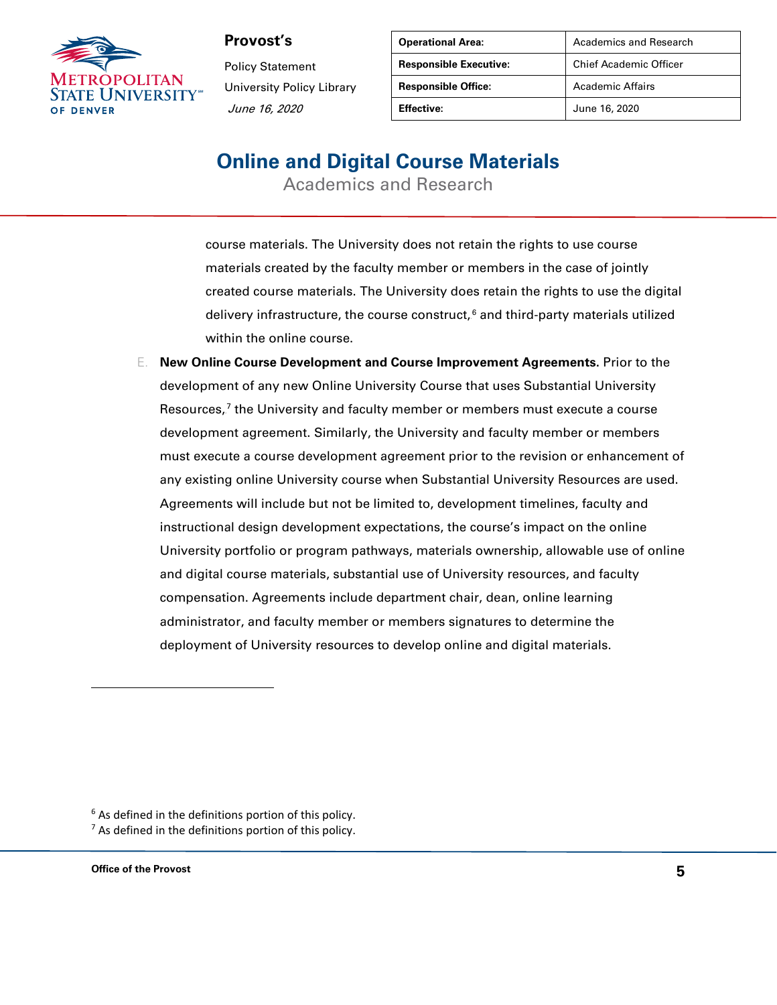

Policy Statement University Policy Library June 16, 2020

| <b>Operational Area:</b>      | Academics and Research        |
|-------------------------------|-------------------------------|
| <b>Responsible Executive:</b> | <b>Chief Academic Officer</b> |
| <b>Responsible Office:</b>    | Academic Affairs              |
| Effective:                    | June 16, 2020                 |

### **Online and Digital Course Materials**

Academics and Research

- course materials. The University does not retain the rights to use course materials created by the faculty member or members in the case of jointly created course materials. The University does retain the rights to use the digital delivery infrastructure, the course construct, $^6$  and third-party materials utilized within the online course.
- E. **New Online Course Development and Course Improvement Agreements.** Prior to the development of any new Online University Course that uses Substantial University Resources,<sup>7</sup> the University and faculty member or members must execute a course development agreement. Similarly, the University and faculty member or members must execute a course development agreement prior to the revision or enhancement of any existing online University course when Substantial University Resources are used. Agreements will include but not be limited to, development timelines, faculty and instructional design development expectations, the course's impact on the online University portfolio or program pathways, materials ownership, allowable use of online and digital course materials, substantial use of University resources, and faculty compensation. Agreements include department chair, dean, online learning administrator, and faculty member or members signatures to determine the deployment of University resources to develop online and digital materials.

 $6$  As defined in the definitions portion of this policy.

 $<sup>7</sup>$  As defined in the definitions portion of this policy.</sup>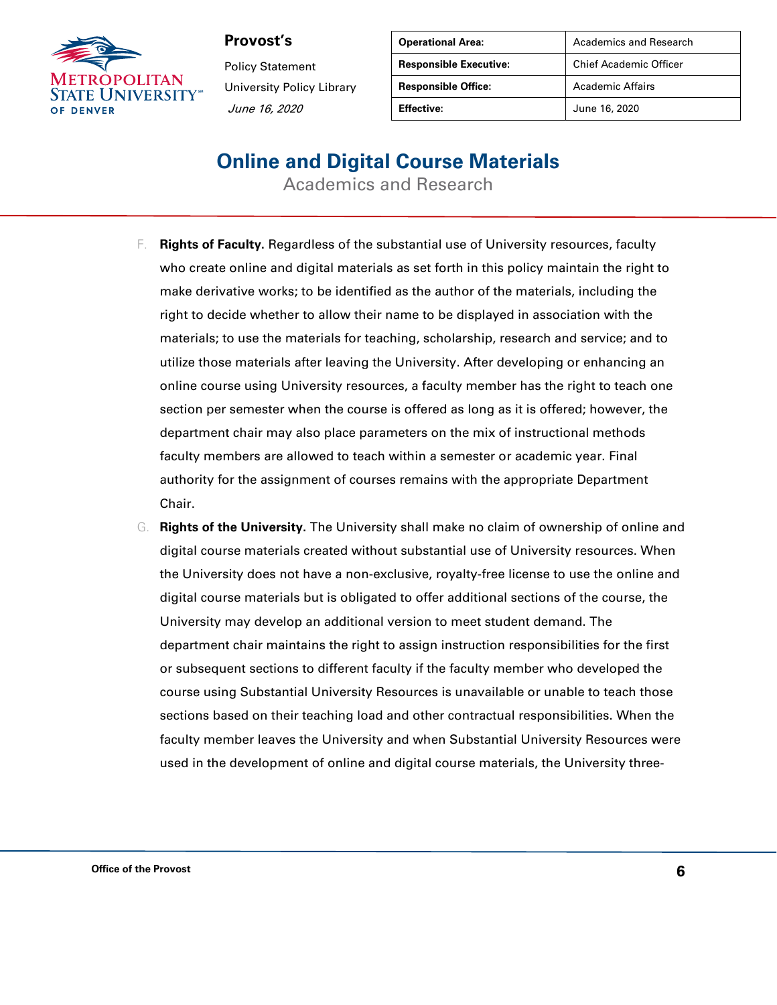

Policy Statement University Policy Library June 16, 2020

| <b>Operational Area:</b>      | <b>Academics and Research</b> |
|-------------------------------|-------------------------------|
| <b>Responsible Executive:</b> | <b>Chief Academic Officer</b> |
| <b>Responsible Office:</b>    | Academic Affairs              |
| <b>Effective:</b>             | June 16, 2020                 |

### **Online and Digital Course Materials**

Academics and Research

- F. **Rights of Faculty.** Regardless of the substantial use of University resources, faculty who create online and digital materials as set forth in this policy maintain the right to make derivative works; to be identified as the author of the materials, including the right to decide whether to allow their name to be displayed in association with the materials; to use the materials for teaching, scholarship, research and service; and to utilize those materials after leaving the University. After developing or enhancing an online course using University resources, a faculty member has the right to teach one section per semester when the course is offered as long as it is offered; however, the department chair may also place parameters on the mix of instructional methods faculty members are allowed to teach within a semester or academic year. Final authority for the assignment of courses remains with the appropriate Department Chair.
- G. **Rights of the University.** The University shall make no claim of ownership of online and digital course materials created without substantial use of University resources. When the University does not have a non-exclusive, royalty-free license to use the online and digital course materials but is obligated to offer additional sections of the course, the University may develop an additional version to meet student demand. The department chair maintains the right to assign instruction responsibilities for the first or subsequent sections to different faculty if the faculty member who developed the course using Substantial University Resources is unavailable or unable to teach those sections based on their teaching load and other contractual responsibilities. When the faculty member leaves the University and when Substantial University Resources were used in the development of online and digital course materials, the University three-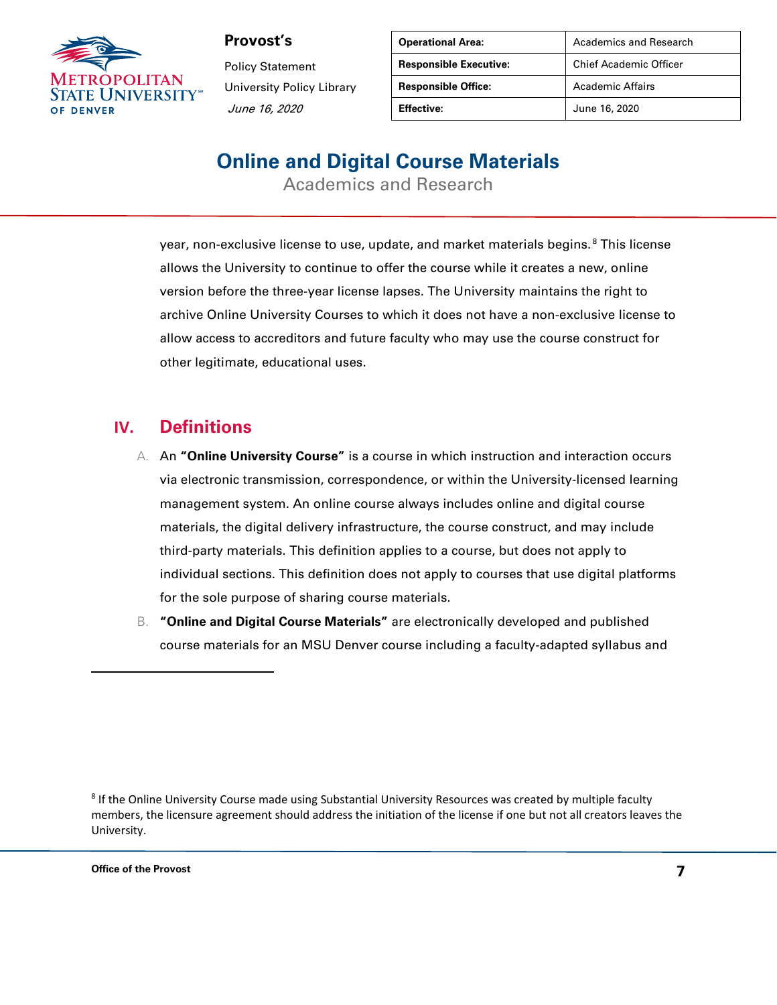

Policy Statement University Policy Library June 16, 2020

| <b>Operational Area:</b>      | Academics and Research        |
|-------------------------------|-------------------------------|
| <b>Responsible Executive:</b> | <b>Chief Academic Officer</b> |
| <b>Responsible Office:</b>    | Academic Affairs              |
| Effective:                    | June 16, 2020                 |

# **Online and Digital Course Materials**

Academics and Research

year, non-exclusive license to use, update, and market materials begins. $^{\rm 8}$  This license allows the University to continue to offer the course while it creates a new, online version before the three-year license lapses. The University maintains the right to archive Online University Courses to which it does not have a non-exclusive license to allow access to accreditors and future faculty who may use the course construct for other legitimate, educational uses.

#### **IV. Definitions**

- A. An **"Online University Course"** is a course in which instruction and interaction occurs via electronic transmission, correspondence, or within the University-licensed learning management system. An online course always includes online and digital course materials, the digital delivery infrastructure, the course construct, and may include third-party materials. This definition applies to a course, but does not apply to individual sections. This definition does not apply to courses that use digital platforms for the sole purpose of sharing course materials.
- B. **"Online and Digital Course Materials"** are electronically developed and published course materials for an MSU Denver course including a faculty-adapted syllabus and

<sup>&</sup>lt;sup>8</sup> If the Online University Course made using Substantial University Resources was created by multiple faculty members, the licensure agreement should address the initiation of the license if one but not all creators leaves the University.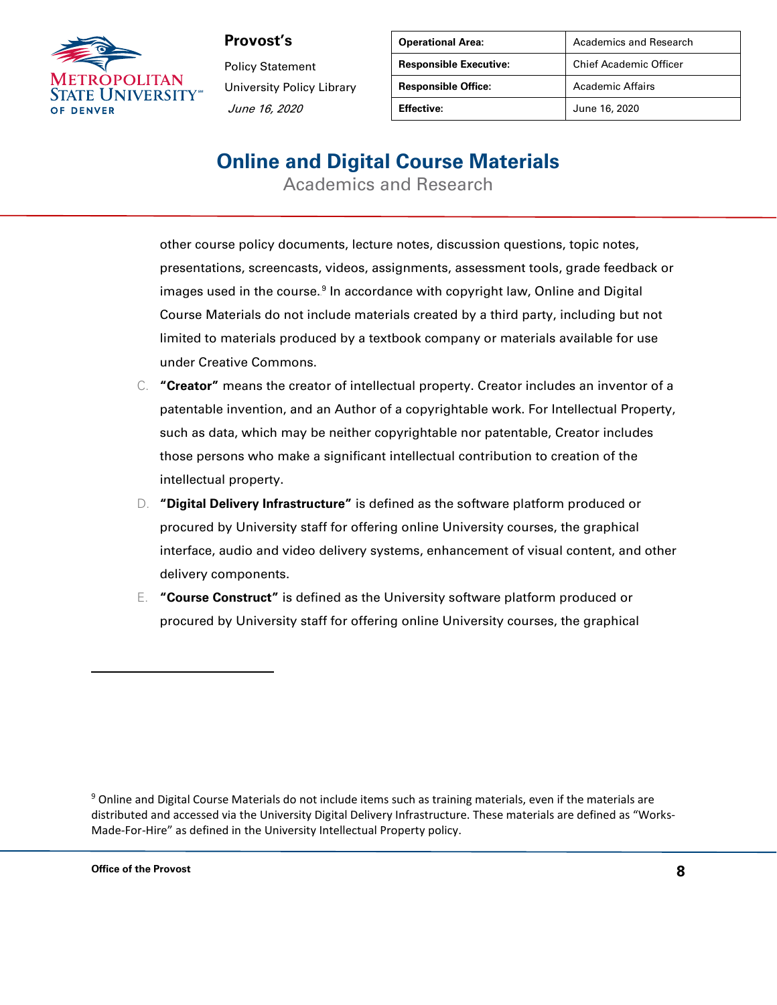

Policy Statement University Policy Library June 16, 2020

| <b>Operational Area:</b>      | Academics and Research        |
|-------------------------------|-------------------------------|
| <b>Responsible Executive:</b> | <b>Chief Academic Officer</b> |
| <b>Responsible Office:</b>    | Academic Affairs              |
| Effective:                    | June 16, 2020                 |

# **Online and Digital Course Materials**

Academics and Research

other course policy documents, lecture notes, discussion questions, topic notes, presentations, screencasts, videos, assignments, assessment tools, grade feedback or images used in the course.<sup>9</sup> In accordance with copyright law, Online and Digital Course Materials do not include materials created by a third party, including but not limited to materials produced by a textbook company or materials available for use under Creative Commons.

- C. **"Creator"** means the creator of intellectual property. Creator includes an inventor of a patentable invention, and an Author of a copyrightable work. For Intellectual Property, such as data, which may be neither copyrightable nor patentable, Creator includes those persons who make a significant intellectual contribution to creation of the intellectual property.
- D. **"Digital Delivery Infrastructure"** is defined as the software platform produced or procured by University staff for offering online University courses, the graphical interface, audio and video delivery systems, enhancement of visual content, and other delivery components.
- E. **"Course Construct"** is defined as the University software platform produced or procured by University staff for offering online University courses, the graphical

<sup>9</sup> Online and Digital Course Materials do not include items such as training materials, even if the materials are distributed and accessed via the University Digital Delivery Infrastructure. These materials are defined as "Works-Made-For-Hire" as defined in the University Intellectual Property policy.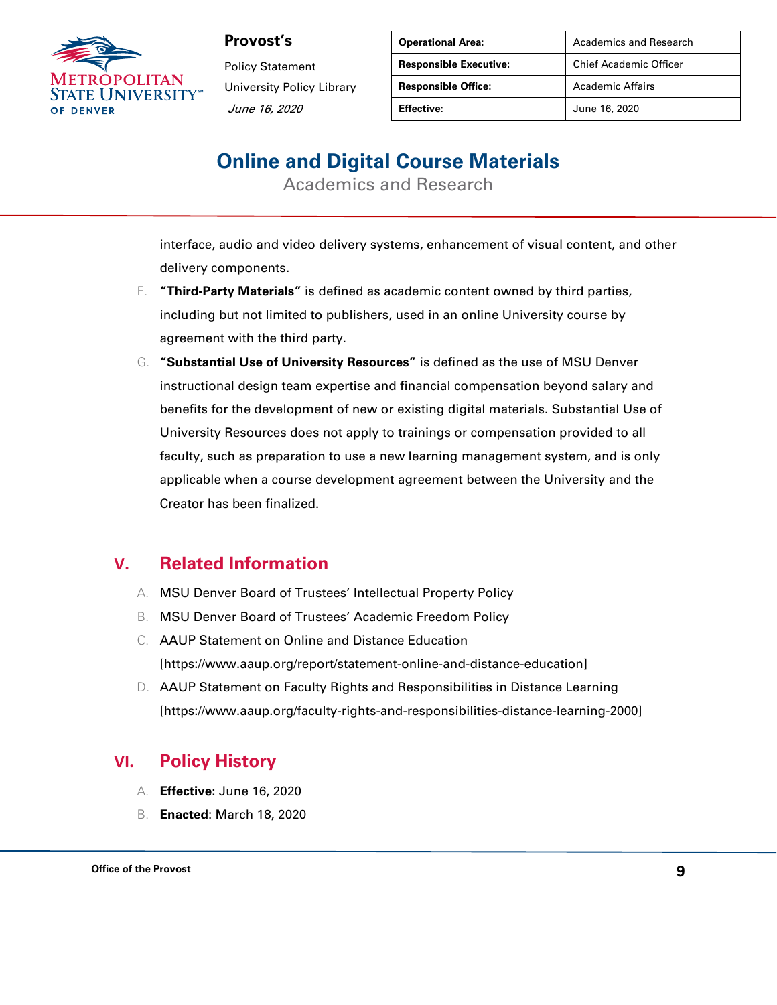

Policy Statement University Policy Library June 16, 2020

| <b>Operational Area:</b>      | Academics and Research        |
|-------------------------------|-------------------------------|
| <b>Responsible Executive:</b> | <b>Chief Academic Officer</b> |
| <b>Responsible Office:</b>    | <b>Academic Affairs</b>       |
| <b>Effective:</b>             | June 16, 2020                 |

# **Online and Digital Course Materials**

Academics and Research

interface, audio and video delivery systems, enhancement of visual content, and other delivery components.

- F. **"Third-Party Materials"** is defined as academic content owned by third parties, including but not limited to publishers, used in an online University course by agreement with the third party.
- G. **"Substantial Use of University Resources"** is defined as the use of MSU Denver instructional design team expertise and financial compensation beyond salary and benefits for the development of new or existing digital materials. Substantial Use of University Resources does not apply to trainings or compensation provided to all faculty, such as preparation to use a new learning management system, and is only applicable when a course development agreement between the University and the Creator has been finalized.

### **V. Related Information**

- A. MSU Denver Board of Trustees' Intellectual Property Policy
- B. MSU Denver Board of Trustees' Academic Freedom Policy
- C. AAUP Statement on Online and Distance Education [https://www.aaup.org/report/statement-online-and-distance-education]
- D. AAUP Statement on Faculty Rights and Responsibilities in Distance Learning [https://www.aaup.org/faculty-rights-and-responsibilities-distance-learning-2000]

#### **VI. Policy History**

- A. **Effective:** June 16, 2020
- B. **Enacted**: March 18, 2020